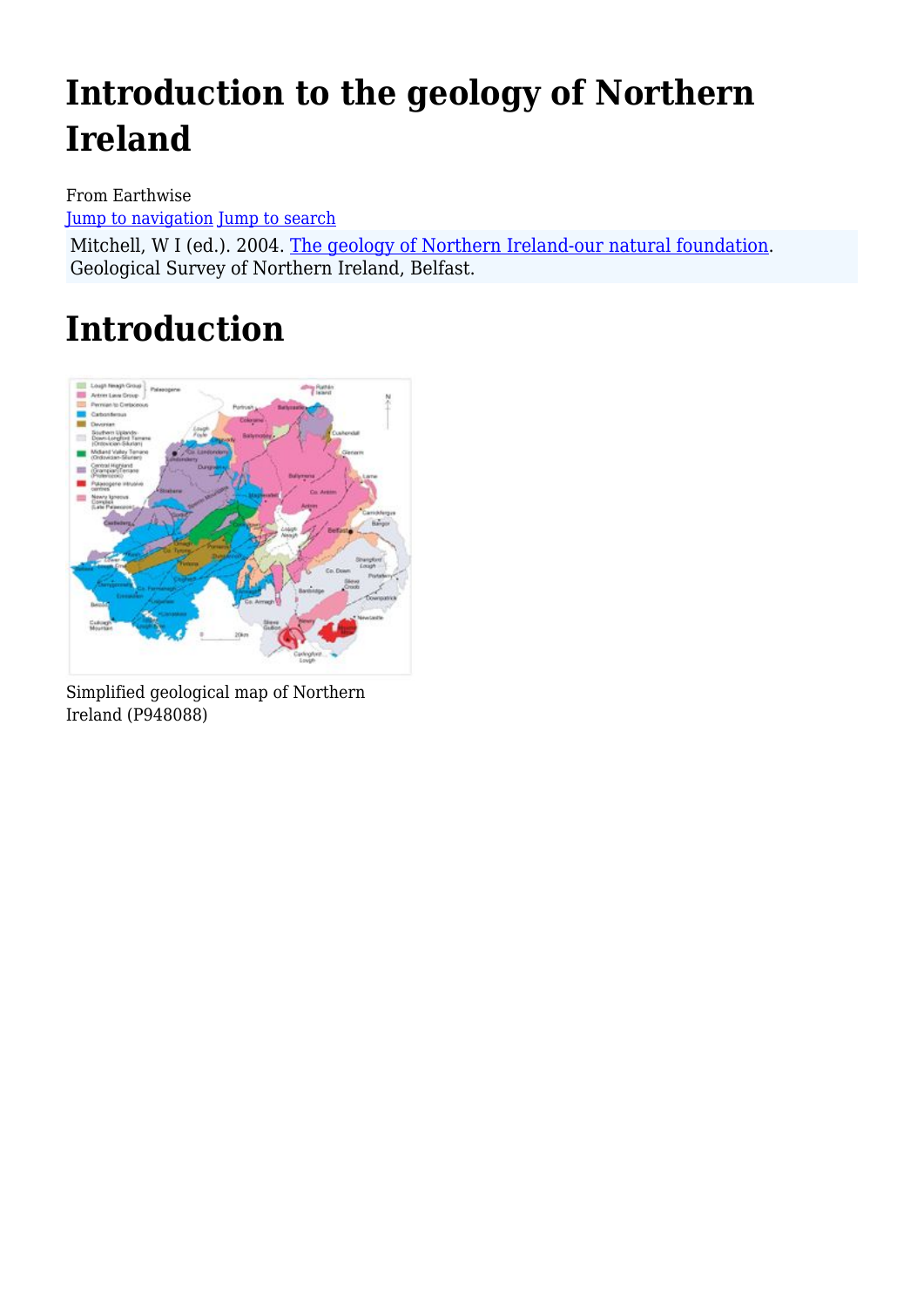# **Introduction to the geology of Northern Ireland**

From Earthwise [Jump to navigation](#page--1-0) [Jump to search](#page--1-0)

Mitchell, W I (ed.). 2004. [The geology of Northern Ireland-our natural foundation](http://earthwise.bgs.ac.uk/index.php/Geology_of_Northern_Ireland:_our_natural_foundation). Geological Survey of Northern Ireland, Belfast.

# **Introduction**



Simplified geological map of Northern Ireland (P948088)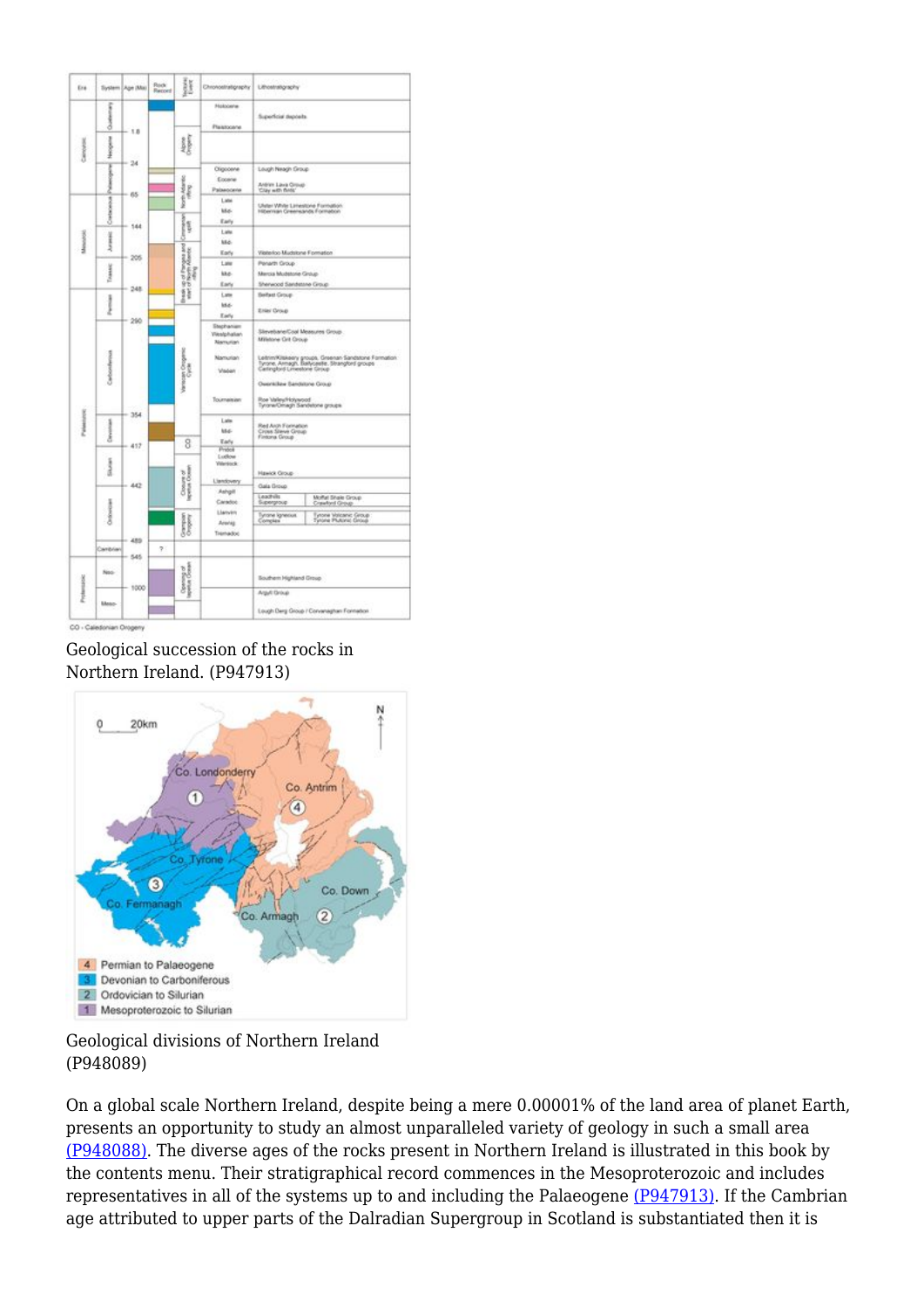| Era              |                      | System Age (Ma) | Rock<br>Record | Þ                                          | Chronostrationsphy                            | Lithostratigraphy                                                                                                                                                                                                                                                                                                                              |                                                |
|------------------|----------------------|-----------------|----------------|--------------------------------------------|-----------------------------------------------|------------------------------------------------------------------------------------------------------------------------------------------------------------------------------------------------------------------------------------------------------------------------------------------------------------------------------------------------|------------------------------------------------|
| 医全角压             | <b>Separate</b><br>8 | 1.8<br>24<br>65 |                |                                            | Molocenter<br>Pleasocene                      | Superficial deposits                                                                                                                                                                                                                                                                                                                           |                                                |
|                  | <b>Beaches</b>       |                 |                | 鸌                                          |                                               |                                                                                                                                                                                                                                                                                                                                                |                                                |
|                  | ı<br>ł               |                 |                | North Adamso<br>1999                       | Clippoone<br>Econos<br>Palaeocene             | Lough Neagh Group<br>Antrine Lava Group<br>Clay with Britis'                                                                                                                                                                                                                                                                                   |                                                |
| Akkendor         | Cratacens            | 144             |                | <b>Sing</b>                                | Later<br>Me-<br>Early                         | Uster White Limestone Farmation<br>Hibernan Greensands Formation                                                                                                                                                                                                                                                                               |                                                |
|                  | Au petiti            | 205<br>248      |                | Comment                                    | Lide<br>Mé.<br>Early                          | Visiterios-Mudsione Formation                                                                                                                                                                                                                                                                                                                  |                                                |
|                  | Transac              |                 |                | t op of Fanges and 1<br>4 of North Alasote | Late<br>ias-<br>Early                         | Penarth Group<br>Mercia Mubstone Group<br>Sherwood Sandstane Group                                                                                                                                                                                                                                                                             |                                                |
| <b>Talastors</b> | į                    | 290             |                | įì                                         | Late<br>ldui-<br>Early                        | <b>Behat Group</b><br>Ellier Oroup                                                                                                                                                                                                                                                                                                             |                                                |
|                  | achordenses          |                 |                | Variación Croganic<br>8                    | Stephanism<br><b>Westphallan</b><br>Mamurian  | Stevebane/Cool Measures Group.<br>Milstone Oril Oroup<br>Leitrim/Kitakeery groups, Groenan Sandstone Formation<br>Tyrone, Armegh, Baskcaethe, Strangford groups<br>Carlingford Limestone Group<br>Owenkillew Sandstone Group<br>Roe Valey/Hoywood<br>Tyronw/Omagh Sandetone groups<br>Red Arch Formation<br>Cross Steve Group<br>Fintona Group |                                                |
|                  |                      |                 |                |                                            | Namurian<br>Visibilit'                        |                                                                                                                                                                                                                                                                                                                                                |                                                |
|                  |                      | 354             |                |                                            | Tournalsien                                   |                                                                                                                                                                                                                                                                                                                                                |                                                |
|                  | <b>Developed</b>     | 417             |                |                                            | Late<br><b>MAG</b><br>Early                   |                                                                                                                                                                                                                                                                                                                                                |                                                |
|                  | Shawn                | 442             |                | Closure of<br>Inprins Ocean                | Pretok<br>Ludlow<br>Villettock:<br>LienSovery | Hawick Group-                                                                                                                                                                                                                                                                                                                                  |                                                |
|                  | Dribwiczan           |                 |                |                                            | Ashgill<br>Carados                            | Oala Group<br>Leachville<br>Supergroup                                                                                                                                                                                                                                                                                                         | Moffat Shake Group<br>Crawford Group           |
|                  |                      | 489             |                | Georgian<br>Georgia                        | Llanvim<br>Arwig<br>Tramadoc                  | Tyrone Ignesiat<br>Complex                                                                                                                                                                                                                                                                                                                     | Tyrone Volcanic Group<br>Tyrone Plutanic Group |
|                  | Cambrian             | 545             | ņ.             |                                            |                                               |                                                                                                                                                                                                                                                                                                                                                |                                                |
| Profession       | No-                  | 1000            |                | Opening of<br>Imprise Googe                |                                               | <b>Bouthern Highland Group</b><br>Arguli Group<br>Lough Deng Group / Converaghan Formation                                                                                                                                                                                                                                                     |                                                |
|                  | literan-             |                 |                |                                            |                                               |                                                                                                                                                                                                                                                                                                                                                |                                                |

#### Geological succession of the rocks in Northern Ireland. (P947913)



#### Geological divisions of Northern Ireland (P948089)

On a global scale Northern Ireland, despite being a mere 0.00001% of the land area of planet Earth, presents an opportunity to study an almost unparalleled variety of geology in such a small area [\(P948088\).](http://earthwise.bgs.ac.uk/images/a/af/P948088.jpg) The diverse ages of the rocks present in Northern Ireland is illustrated in this book by the contents menu. Their stratigraphical record commences in the Mesoproterozoic and includes representatives in all of the systems up to and including the Palaeogene [\(P947913\).](http://earthwise.bgs.ac.uk/images/5/5d/P947913.jpg) If the Cambrian age attributed to upper parts of the Dalradian Supergroup in Scotland is substantiated then it is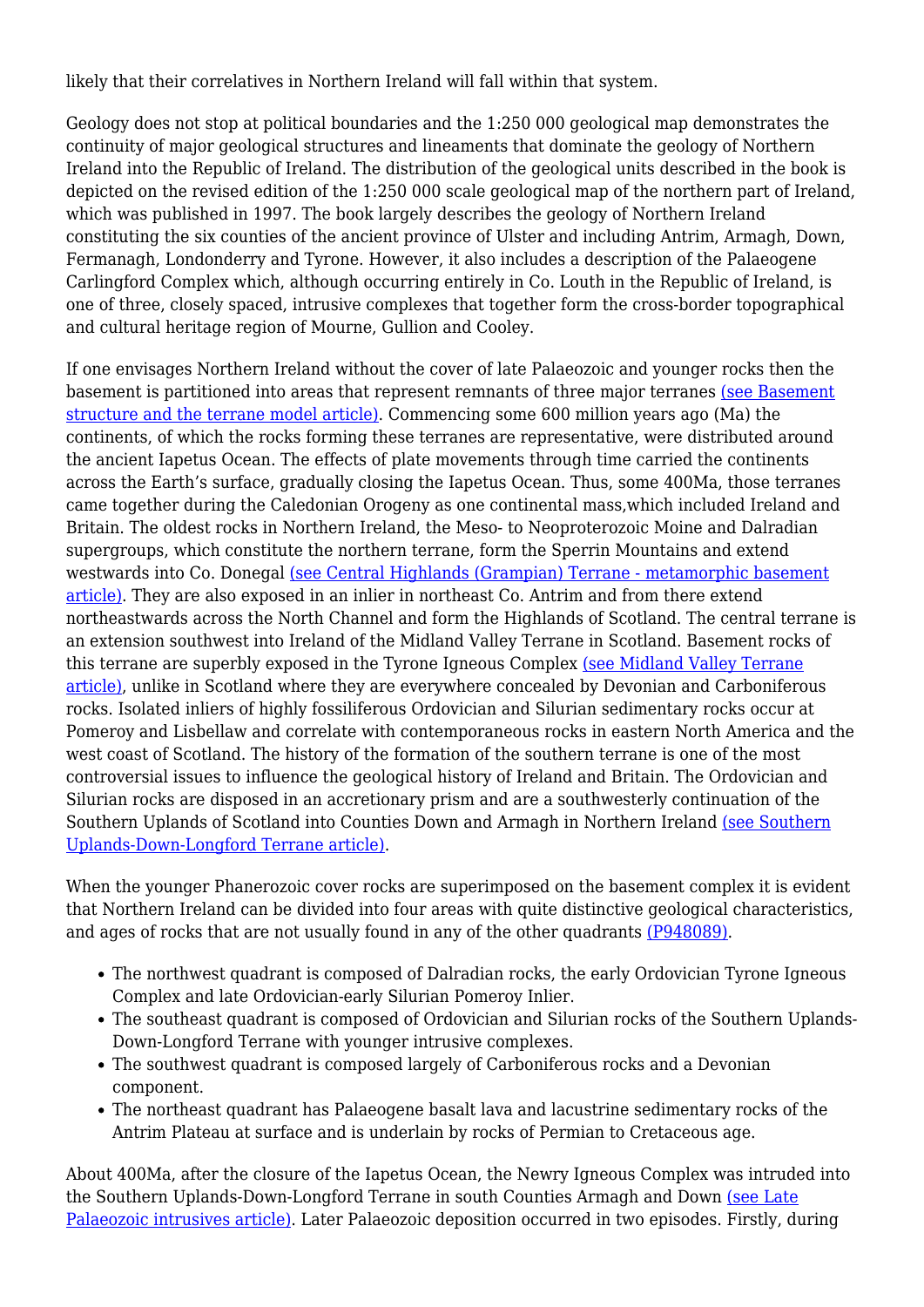likely that their correlatives in Northern Ireland will fall within that system.

Geology does not stop at political boundaries and the 1:250 000 geological map demonstrates the continuity of major geological structures and lineaments that dominate the geology of Northern Ireland into the Republic of Ireland. The distribution of the geological units described in the book is depicted on the revised edition of the 1:250 000 scale geological map of the northern part of Ireland, which was published in 1997. The book largely describes the geology of Northern Ireland constituting the six counties of the ancient province of Ulster and including Antrim, Armagh, Down, Fermanagh, Londonderry and Tyrone. However, it also includes a description of the Palaeogene Carlingford Complex which, although occurring entirely in Co. Louth in the Republic of Ireland, is one of three, closely spaced, intrusive complexes that together form the cross-border topographical and cultural heritage region of Mourne, Gullion and Cooley.

If one envisages Northern Ireland without the cover of late Palaeozoic and younger rocks then the basement is partitioned into areas that represent remnants of three major terranes [\(see Basement](http://earthwise.bgs.ac.uk/index.php/Basement_structure_and_the_terrane_model_of_Northern_Ireland) [structure and the terrane model article\).](http://earthwise.bgs.ac.uk/index.php/Basement_structure_and_the_terrane_model_of_Northern_Ireland) Commencing some 600 million years ago (Ma) the continents, of which the rocks forming these terranes are representative, were distributed around the ancient Iapetus Ocean. The effects of plate movements through time carried the continents across the Earth's surface, gradually closing the Iapetus Ocean. Thus, some 400Ma, those terranes came together during the Caledonian Orogeny as one continental mass,which included Ireland and Britain. The oldest rocks in Northern Ireland, the Meso- to Neoproterozoic Moine and Dalradian supergroups, which constitute the northern terrane, form the Sperrin Mountains and extend westwards into Co. Donegal [\(see Central Highlands \(Grampian\) Terrane - metamorphic basement](http://earthwise.bgs.ac.uk/index.php/Central_Highlands_(Grampian)_Terrane_-_metamorphic_basement,_Northern_Ireland) [article\).](http://earthwise.bgs.ac.uk/index.php/Central_Highlands_(Grampian)_Terrane_-_metamorphic_basement,_Northern_Ireland) They are also exposed in an inlier in northeast Co. Antrim and from there extend northeastwards across the North Channel and form the Highlands of Scotland. The central terrane is an extension southwest into Ireland of the Midland Valley Terrane in Scotland. Basement rocks of this terrane are superbly exposed in the Tyrone Igneous Complex [\(see Midland Valley Terrane](http://earthwise.bgs.ac.uk/index.php/Midland_Valley_Terrane,_Northern_Ireland) [article\),](http://earthwise.bgs.ac.uk/index.php/Midland_Valley_Terrane,_Northern_Ireland) unlike in Scotland where they are everywhere concealed by Devonian and Carboniferous rocks. Isolated inliers of highly fossiliferous Ordovician and Silurian sedimentary rocks occur at Pomeroy and Lisbellaw and correlate with contemporaneous rocks in eastern North America and the west coast of Scotland. The history of the formation of the southern terrane is one of the most controversial issues to influence the geological history of Ireland and Britain. The Ordovician and Silurian rocks are disposed in an accretionary prism and are a southwesterly continuation of the Southern Uplands of Scotland into Counties Down and Armagh in Northern Ireland [\(see Southern](http://earthwise.bgs.ac.uk/index.php/Southern_Uplands-Down-Longford_Terrane,_Northern_Ireland) [Uplands-Down-Longford Terrane article\).](http://earthwise.bgs.ac.uk/index.php/Southern_Uplands-Down-Longford_Terrane,_Northern_Ireland)

When the younger Phanerozoic cover rocks are superimposed on the basement complex it is evident that Northern Ireland can be divided into four areas with quite distinctive geological characteristics, and ages of rocks that are not usually found in any of the other quadrants [\(P948089\)](http://earthwise.bgs.ac.uk/images/c/c7/P948089.jpg).

- The northwest quadrant is composed of Dalradian rocks, the early Ordovician Tyrone Igneous Complex and late Ordovician-early Silurian Pomeroy Inlier.
- The southeast quadrant is composed of Ordovician and Silurian rocks of the Southern Uplands-Down-Longford Terrane with younger intrusive complexes.
- The southwest quadrant is composed largely of Carboniferous rocks and a Devonian component.
- The northeast quadrant has Palaeogene basalt lava and lacustrine sedimentary rocks of the Antrim Plateau at surface and is underlain by rocks of Permian to Cretaceous age.

About 400Ma, after the closure of the Iapetus Ocean, the Newry Igneous Complex was intruded into the Southern Uplands-Down-Longford Terrane in south Counties Armagh and Down [\(see Late](http://earthwise.bgs.ac.uk/index.php/Late_Palaeozoic_intrusives,_Northern_Ireland) [Palaeozoic intrusives article\).](http://earthwise.bgs.ac.uk/index.php/Late_Palaeozoic_intrusives,_Northern_Ireland) Later Palaeozoic deposition occurred in two episodes. Firstly, during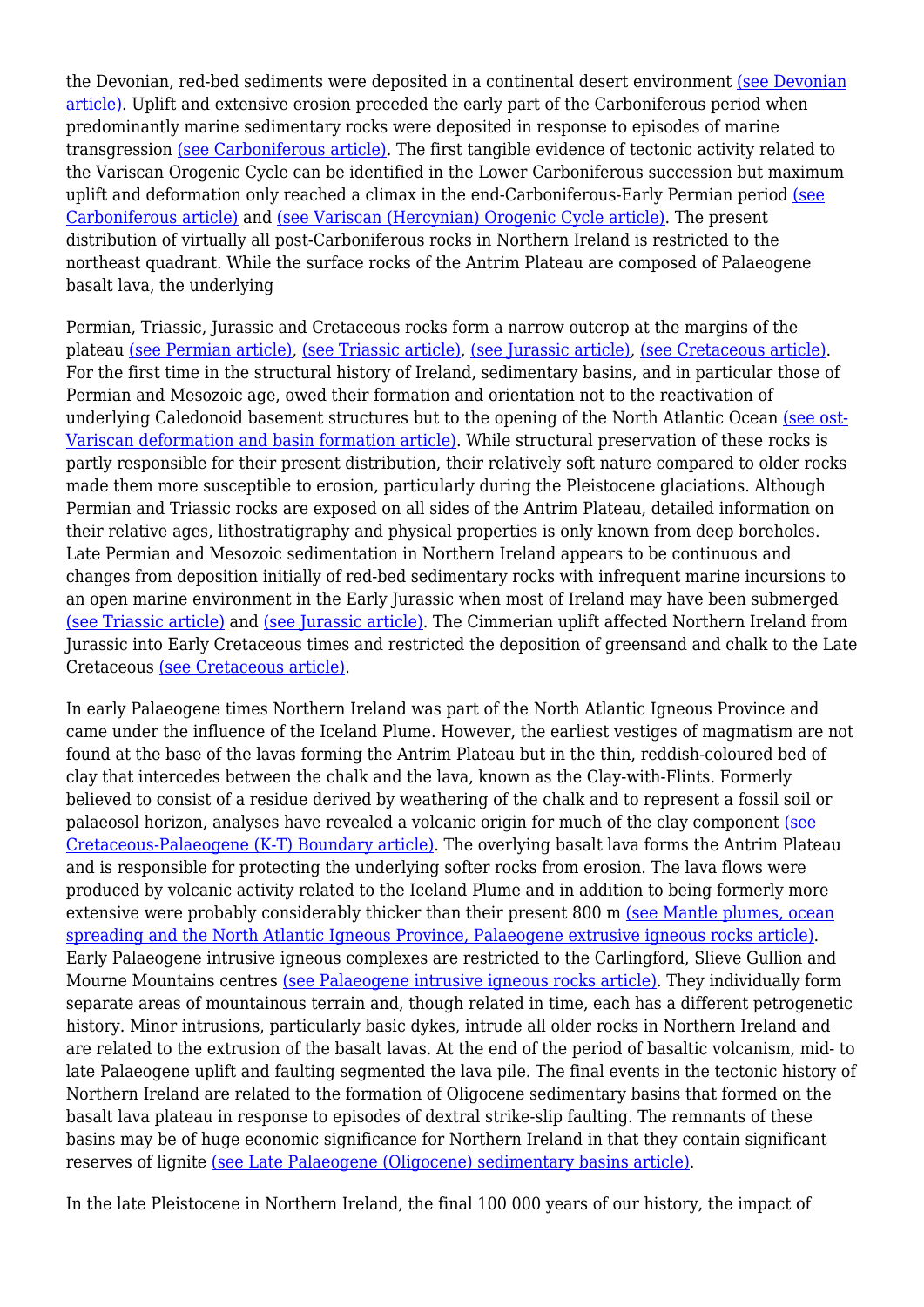the Devonian, red-bed sediments were deposited in a continental desert environment [\(see Devonian](http://earthwise.bgs.ac.uk/index.php/Devonian,_Northern_Ireland) [article\).](http://earthwise.bgs.ac.uk/index.php/Devonian,_Northern_Ireland) Uplift and extensive erosion preceded the early part of the Carboniferous period when predominantly marine sedimentary rocks were deposited in response to episodes of marine transgression [\(see Carboniferous article\)](http://earthwise.bgs.ac.uk/index.php/Carboniferous,_Northern_Ireland). The first tangible evidence of tectonic activity related to the Variscan Orogenic Cycle can be identified in the Lower Carboniferous succession but maximum uplift and deformation only reached a climax in the end-Carboniferous-Early Permian period [\(see](http://earthwise.bgs.ac.uk/index.php/Carboniferous,_Northern_Ireland) [Carboniferous article\)](http://earthwise.bgs.ac.uk/index.php/Carboniferous,_Northern_Ireland) and [\(see Variscan \(Hercynian\) Orogenic Cycle article\).](http://earthwise.bgs.ac.uk/index.php/Variscan_(Hercynian)_Orogenic_Cycle,_Northern_Ireland) The present distribution of virtually all post-Carboniferous rocks in Northern Ireland is restricted to the northeast quadrant. While the surface rocks of the Antrim Plateau are composed of Palaeogene basalt lava, the underlying

Permian, Triassic, Jurassic and Cretaceous rocks form a narrow outcrop at the margins of the plateau [\(see Permian article\)](http://earthwise.bgs.ac.uk/index.php/Permian,_Northern_Ireland), [\(see Triassic article\)](http://earthwise.bgs.ac.uk/index.php/Triassic,_Northern_Ireland), [\(see Jurassic article\)](http://earthwise.bgs.ac.uk/index.php/Jurassic,_Northern_Ireland), [\(see Cretaceous article\)](http://earthwise.bgs.ac.uk/index.php/Cretaceous,_Northern_Ireland). For the first time in the structural history of Ireland, sedimentary basins, and in particular those of Permian and Mesozoic age, owed their formation and orientation not to the reactivation of underlying Caledonoid basement structures but to the opening of the North Atlantic Ocean [\(see ost-](http://earthwise.bgs.ac.uk/index.php/Post-Variscan_deformation_and_basin_formation,_Northern_Ireland)[Variscan deformation and basin formation article\)](http://earthwise.bgs.ac.uk/index.php/Post-Variscan_deformation_and_basin_formation,_Northern_Ireland). While structural preservation of these rocks is partly responsible for their present distribution, their relatively soft nature compared to older rocks made them more susceptible to erosion, particularly during the Pleistocene glaciations. Although Permian and Triassic rocks are exposed on all sides of the Antrim Plateau, detailed information on their relative ages, lithostratigraphy and physical properties is only known from deep boreholes. Late Permian and Mesozoic sedimentation in Northern Ireland appears to be continuous and changes from deposition initially of red-bed sedimentary rocks with infrequent marine incursions to an open marine environment in the Early Jurassic when most of Ireland may have been submerged [\(see Triassic article\)](http://earthwise.bgs.ac.uk/index.php/Triassic,_Northern_Ireland) and [\(see Jurassic article\).](http://earthwise.bgs.ac.uk/index.php/Jurassic,_Northern_Ireland) The Cimmerian uplift affected Northern Ireland from Jurassic into Early Cretaceous times and restricted the deposition of greensand and chalk to the Late Cretaceous [\(see Cretaceous article\)](http://earthwise.bgs.ac.uk/index.php/Cretaceous,_Northern_Ireland).

In early Palaeogene times Northern Ireland was part of the North Atlantic Igneous Province and came under the influence of the Iceland Plume. However, the earliest vestiges of magmatism are not found at the base of the lavas forming the Antrim Plateau but in the thin, reddish-coloured bed of clay that intercedes between the chalk and the lava, known as the Clay-with-Flints. Formerly believed to consist of a residue derived by weathering of the chalk and to represent a fossil soil or palaeosol horizon, analyses have revealed a volcanic origin for much of the clay component [\(see](http://earthwise.bgs.ac.uk/index.php/Cretaceous-Palaeogene_(K-T)_Boundary,_Northern_Ireland) [Cretaceous-Palaeogene \(K-T\) Boundary article\).](http://earthwise.bgs.ac.uk/index.php/Cretaceous-Palaeogene_(K-T)_Boundary,_Northern_Ireland) The overlying basalt lava forms the Antrim Plateau and is responsible for protecting the underlying softer rocks from erosion. The lava flows were produced by volcanic activity related to the Iceland Plume and in addition to being formerly more extensive were probably considerably thicker than their present 800 m [\(see Mantle plumes, ocean](http://earthwise.bgs.ac.uk/index.php/Mantle_plumes,_ocean_spreading_and_the_North_Atlantic_Igneous_Province,_Palaeogene_extrusive_igneous_rocks,_Northern_Ireland) [spreading and the North Atlantic Igneous Province, Palaeogene extrusive igneous rocks article\).](http://earthwise.bgs.ac.uk/index.php/Mantle_plumes,_ocean_spreading_and_the_North_Atlantic_Igneous_Province,_Palaeogene_extrusive_igneous_rocks,_Northern_Ireland) Early Palaeogene intrusive igneous complexes are restricted to the Carlingford, Slieve Gullion and Mourne Mountains centres [\(see Palaeogene intrusive igneous rocks article\)](http://earthwise.bgs.ac.uk/index.php/Palaeogene_intrusive_igneous_rocks,_Northern_Ireland). They individually form separate areas of mountainous terrain and, though related in time, each has a different petrogenetic history. Minor intrusions, particularly basic dykes, intrude all older rocks in Northern Ireland and are related to the extrusion of the basalt lavas. At the end of the period of basaltic volcanism, mid- to late Palaeogene uplift and faulting segmented the lava pile. The final events in the tectonic history of Northern Ireland are related to the formation of Oligocene sedimentary basins that formed on the basalt lava plateau in response to episodes of dextral strike-slip faulting. The remnants of these basins may be of huge economic significance for Northern Ireland in that they contain significant reserves of lignite [\(see Late Palaeogene \(Oligocene\) sedimentary basins article\)](http://earthwise.bgs.ac.uk/index.php/Late_Palaeogene_(Oligocene)_sedimentary_basins,_Northern_Ireland).

In the late Pleistocene in Northern Ireland, the final 100 000 years of our history, the impact of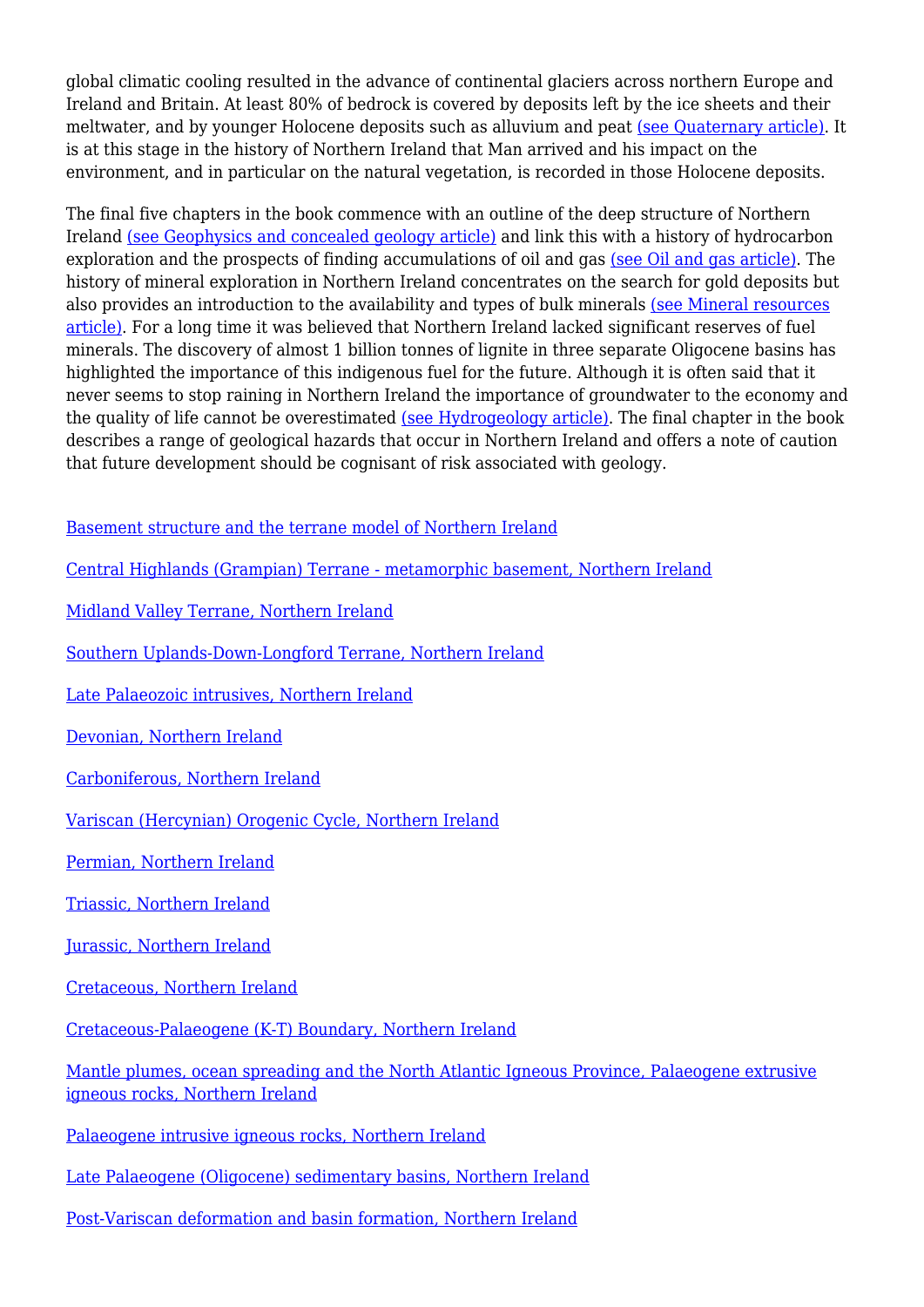global climatic cooling resulted in the advance of continental glaciers across northern Europe and Ireland and Britain. At least 80% of bedrock is covered by deposits left by the ice sheets and their meltwater, and by younger Holocene deposits such as alluvium and peat [\(see Quaternary article\)](http://earthwise.bgs.ac.uk/index.php/Quaternary,_Northern_Ireland). It is at this stage in the history of Northern Ireland that Man arrived and his impact on the environment, and in particular on the natural vegetation, is recorded in those Holocene deposits.

The final five chapters in the book commence with an outline of the deep structure of Northern Ireland [\(see Geophysics and concealed geology article\)](http://earthwise.bgs.ac.uk/index.php/Geophysics_and_concealed_geology,_Northern_Ireland) and link this with a history of hydrocarbon exploration and the prospects of finding accumulations of oil and gas [\(see Oil and gas article\)](http://earthwise.bgs.ac.uk/index.php/Oil_and_gas,_Northern_Ireland). The history of mineral exploration in Northern Ireland concentrates on the search for gold deposits but also provides an introduction to the availability and types of bulk minerals [\(see Mineral resources](http://earthwise.bgs.ac.uk/index.php/Mineral_resources,_Northern_Ireland) [article\).](http://earthwise.bgs.ac.uk/index.php/Mineral_resources,_Northern_Ireland) For a long time it was believed that Northern Ireland lacked significant reserves of fuel minerals. The discovery of almost 1 billion tonnes of lignite in three separate Oligocene basins has highlighted the importance of this indigenous fuel for the future. Although it is often said that it never seems to stop raining in Northern Ireland the importance of groundwater to the economy and the quality of life cannot be overestimated [\(see Hydrogeology article\)](http://earthwise.bgs.ac.uk/index.php/Hydrogeology,_Northern_Ireland). The final chapter in the book describes a range of geological hazards that occur in Northern Ireland and offers a note of caution that future development should be cognisant of risk associated with geology.

[Basement structure and the terrane model of Northern Ireland](http://earthwise.bgs.ac.uk/index.php/Basement_structure_and_the_terrane_model_of_Northern_Ireland)

[Central Highlands \(Grampian\) Terrane - metamorphic basement, Northern Ireland](http://earthwise.bgs.ac.uk/index.php/Central_Highlands_(Grampian)_Terrane_-_metamorphic_basement,_Northern_Ireland)

[Midland Valley Terrane, Northern Ireland](http://earthwise.bgs.ac.uk/index.php/Midland_Valley_Terrane,_Northern_Ireland)

[Southern Uplands-Down-Longford Terrane, Northern Ireland](http://earthwise.bgs.ac.uk/index.php/Southern_Uplands-Down-Longford_Terrane,_Northern_Ireland)

[Late Palaeozoic intrusives, Northern Ireland](http://earthwise.bgs.ac.uk/index.php/Late_Palaeozoic_intrusives,_Northern_Ireland)

[Devonian, Northern Ireland](http://earthwise.bgs.ac.uk/index.php/Devonian,_Northern_Ireland)

[Carboniferous, Northern Ireland](http://earthwise.bgs.ac.uk/index.php/Carboniferous,_Northern_Ireland)

[Variscan \(Hercynian\) Orogenic Cycle, Northern Ireland](http://earthwise.bgs.ac.uk/index.php/Variscan_(Hercynian)_Orogenic_Cycle,_Northern_Ireland)

[Permian, Northern Ireland](http://earthwise.bgs.ac.uk/index.php/Permian,_Northern_Ireland)

[Triassic, Northern Ireland](http://earthwise.bgs.ac.uk/index.php/Triassic,_Northern_Ireland)

[Jurassic, Northern Ireland](http://earthwise.bgs.ac.uk/index.php/Jurassic,_Northern_Ireland)

[Cretaceous, Northern Ireland](http://earthwise.bgs.ac.uk/index.php/Cretaceous,_Northern_Ireland)

[Cretaceous-Palaeogene \(K-T\) Boundary, Northern Ireland](http://earthwise.bgs.ac.uk/index.php/Cretaceous-Palaeogene_(K-T)_Boundary,_Northern_Ireland)

[Mantle plumes, ocean spreading and the North Atlantic Igneous Province, Palaeogene extrusive](http://earthwise.bgs.ac.uk/index.php/Mantle_plumes,_ocean_spreading_and_the_North_Atlantic_Igneous_Province,_Palaeogene_extrusive_igneous_rocks,_Northern_Ireland) [igneous rocks, Northern Ireland](http://earthwise.bgs.ac.uk/index.php/Mantle_plumes,_ocean_spreading_and_the_North_Atlantic_Igneous_Province,_Palaeogene_extrusive_igneous_rocks,_Northern_Ireland)

[Palaeogene intrusive igneous rocks, Northern Ireland](http://earthwise.bgs.ac.uk/index.php/Palaeogene_intrusive_igneous_rocks,_Northern_Ireland)

[Late Palaeogene \(Oligocene\) sedimentary basins, Northern Ireland](http://earthwise.bgs.ac.uk/index.php/Late_Palaeogene_(Oligocene)_sedimentary_basins,_Northern_Ireland)

[Post-Variscan deformation and basin formation, Northern Ireland](http://earthwise.bgs.ac.uk/index.php/Post-Variscan_deformation_and_basin_formation,_Northern_Ireland)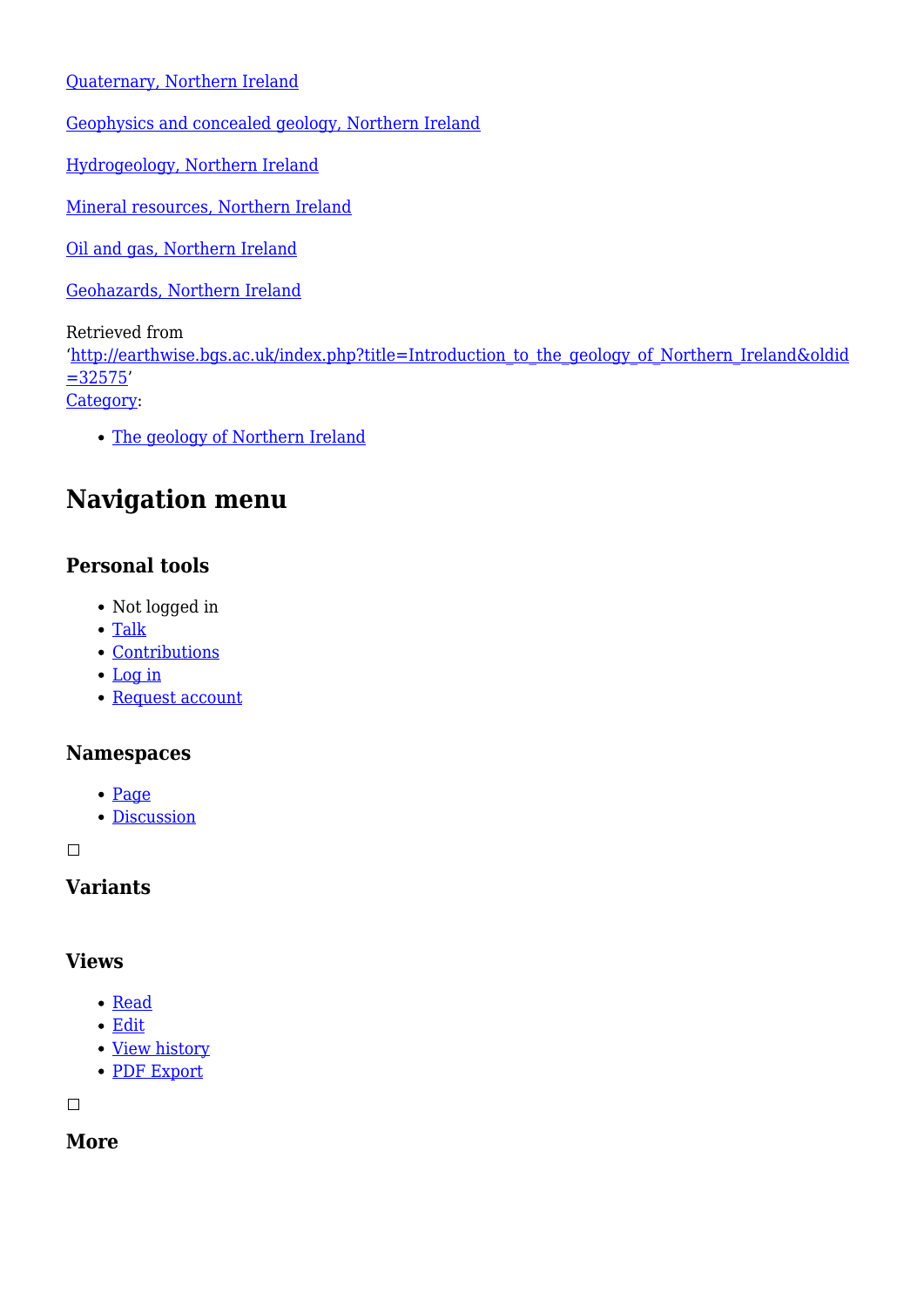[Quaternary, Northern Ireland](http://earthwise.bgs.ac.uk/index.php/Quaternary,_Northern_Ireland)

[Geophysics and concealed geology, Northern Ireland](http://earthwise.bgs.ac.uk/index.php/Geophysics_and_concealed_geology,_Northern_Ireland)

[Hydrogeology, Northern Ireland](http://earthwise.bgs.ac.uk/index.php/Hydrogeology,_Northern_Ireland)

[Mineral resources, Northern Ireland](http://earthwise.bgs.ac.uk/index.php/Mineral_resources,_Northern_Ireland)

[Oil and gas, Northern Ireland](http://earthwise.bgs.ac.uk/index.php/Oil_and_gas,_Northern_Ireland)

[Geohazards, Northern Ireland](http://earthwise.bgs.ac.uk/index.php/Geohazards,_Northern_Ireland)

Retrieved from

'[http://earthwise.bgs.ac.uk/index.php?title=Introduction\\_to\\_the\\_geology\\_of\\_Northern\\_Ireland&oldid](http://earthwise.bgs.ac.uk/index.php?title=Introduction_to_the_geology_of_Northern_Ireland&oldid=32575) [=32575](http://earthwise.bgs.ac.uk/index.php?title=Introduction_to_the_geology_of_Northern_Ireland&oldid=32575)'

[Category](http://earthwise.bgs.ac.uk/index.php/Special:Categories):

[The geology of Northern Ireland](http://earthwise.bgs.ac.uk/index.php/Category:The_geology_of_Northern_Ireland)

# **Navigation menu**

# **Personal tools**

- Not logged in
- [Talk](http://earthwise.bgs.ac.uk/index.php/Special:MyTalk)
- [Contributions](http://earthwise.bgs.ac.uk/index.php/Special:MyContributions)
- [Log in](http://earthwise.bgs.ac.uk/index.php?title=Special:UserLogin&returnto=Introduction+to+the+geology+of+Northern+Ireland&returntoquery=action%3Dmpdf)
- [Request account](http://earthwise.bgs.ac.uk/index.php/Special:RequestAccount)

#### **Namespaces**

- [Page](http://earthwise.bgs.ac.uk/index.php/Introduction_to_the_geology_of_Northern_Ireland)
- [Discussion](http://earthwise.bgs.ac.uk/index.php?title=Talk:Introduction_to_the_geology_of_Northern_Ireland&action=edit&redlink=1)

 $\Box$ 

**Variants**

#### **Views**

- [Read](http://earthwise.bgs.ac.uk/index.php/Introduction_to_the_geology_of_Northern_Ireland)
- [Edit](http://earthwise.bgs.ac.uk/index.php?title=Introduction_to_the_geology_of_Northern_Ireland&action=edit)
- [View history](http://earthwise.bgs.ac.uk/index.php?title=Introduction_to_the_geology_of_Northern_Ireland&action=history)
- [PDF Export](http://earthwise.bgs.ac.uk/index.php?title=Introduction_to_the_geology_of_Northern_Ireland&action=mpdf)

 $\Box$ 

**More**